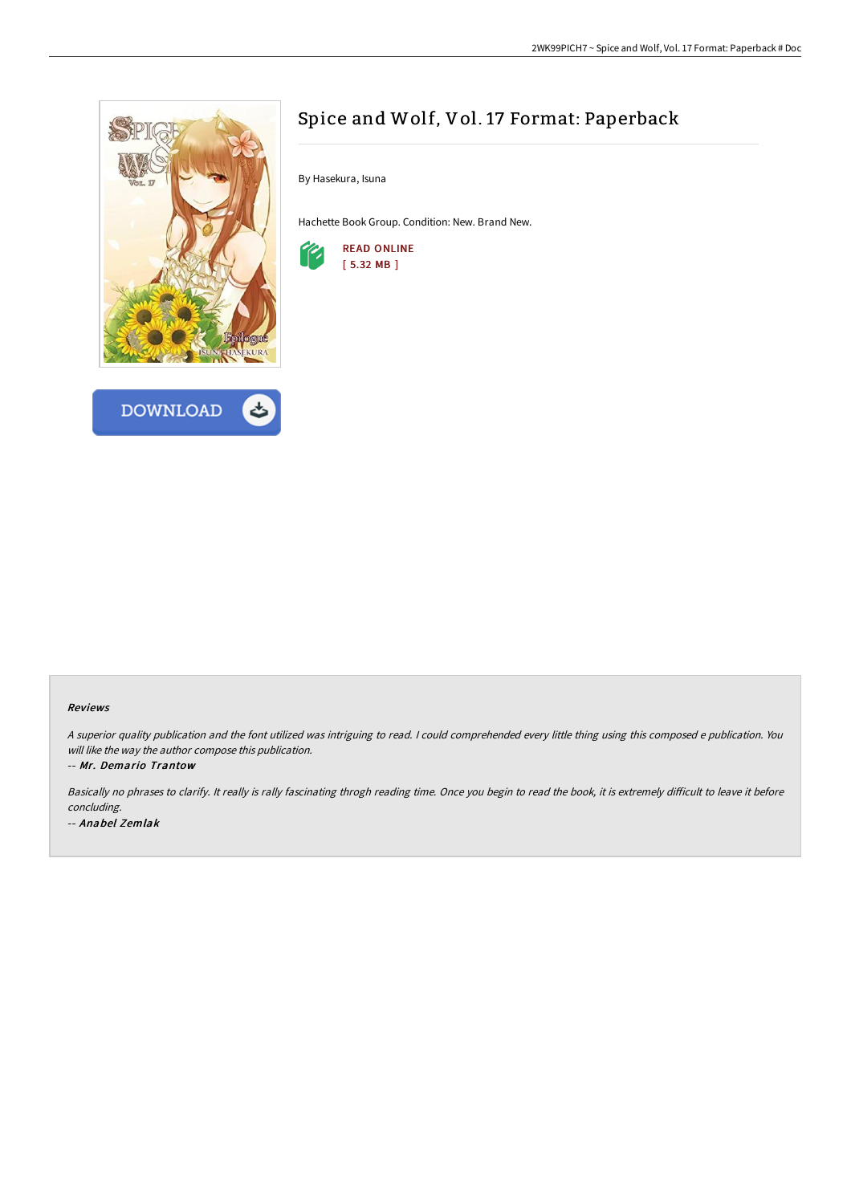



# Spice and Wolf, Vol. 17 Format: Paperback

By Hasekura, Isuna

Hachette Book Group. Condition: New. Brand New.



#### Reviews

<sup>A</sup> superior quality publication and the font utilized was intriguing to read. <sup>I</sup> could comprehended every little thing using this composed <sup>e</sup> publication. You will like the way the author compose this publication.

-- Mr. Demario Trantow

Basically no phrases to clarify. It really is rally fascinating throgh reading time. Once you begin to read the book, it is extremely difficult to leave it before concluding. -- Anabel Zemlak